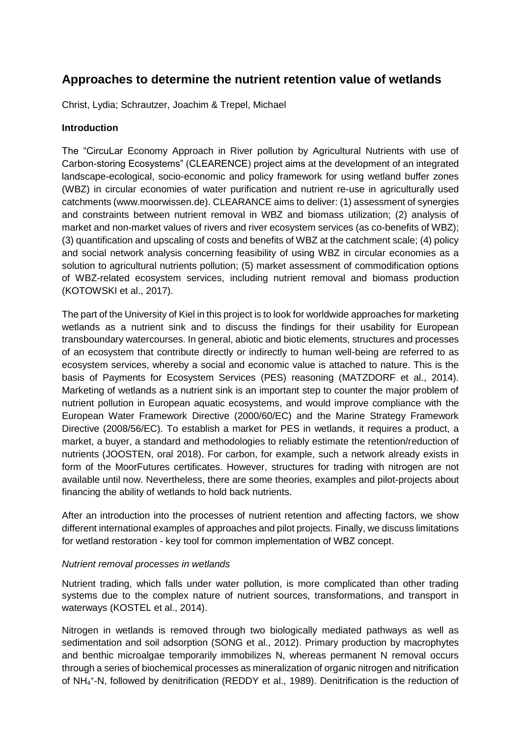# **Approaches to determine the nutrient retention value of wetlands**

Christ, Lydia; Schrautzer, Joachim & Trepel, Michael

## **Introduction**

The "CircuLar Economy Approach in River pollution by Agricultural Nutrients with use of Carbon-storing Ecosystems" (CLEARENCE) project aims at the development of an integrated landscape-ecological, socio-economic and policy framework for using wetland buffer zones (WBZ) in circular economies of water purification and nutrient re-use in agriculturally used catchments [\(www.moorwissen.de\)](http://www.moorwissen.de/). CLEARANCE aims to deliver: (1) assessment of synergies and constraints between nutrient removal in WBZ and biomass utilization; (2) analysis of market and non-market values of rivers and river ecosystem services (as co-benefits of WBZ); (3) quantification and upscaling of costs and benefits of WBZ at the catchment scale; (4) policy and social network analysis concerning feasibility of using WBZ in circular economies as a solution to agricultural nutrients pollution; (5) market assessment of commodification options of WBZ-related ecosystem services, including nutrient removal and biomass production (KOTOWSKI et al., 2017).

The part of the University of Kiel in this project is to look for worldwide approaches for marketing wetlands as a nutrient sink and to discuss the findings for their usability for European transboundary watercourses. In general, abiotic and biotic elements, structures and processes of an ecosystem that contribute directly or indirectly to human well-being are referred to as ecosystem services, whereby a social and economic value is attached to nature. This is the basis of Payments for Ecosystem Services (PES) reasoning (MATZDORF et al., 2014). Marketing of wetlands as a nutrient sink is an important step to counter the major problem of nutrient pollution in European aquatic ecosystems, and would improve compliance with the European Water Framework Directive (2000/60/EC) and the Marine Strategy Framework Directive (2008/56/EC). To establish a market for PES in wetlands, it requires a product, a market, a buyer, a standard and methodologies to reliably estimate the retention/reduction of nutrients (JOOSTEN, oral 2018). For carbon, for example, such a network already exists in form of the MoorFutures certificates. However, structures for trading with nitrogen are not available until now. Nevertheless, there are some theories, examples and pilot-projects about financing the ability of wetlands to hold back nutrients.

After an introduction into the processes of nutrient retention and affecting factors, we show different international examples of approaches and pilot projects. Finally, we discuss limitations for wetland restoration - key tool for common implementation of WBZ concept.

### *Nutrient removal processes in wetlands*

Nutrient trading, which falls under water pollution, is more complicated than other trading systems due to the complex nature of nutrient sources, transformations, and transport in waterways (KOSTEL et al., 2014).

Nitrogen in wetlands is removed through two biologically mediated pathways as well as sedimentation and soil adsorption (SONG et al., 2012). Primary production by macrophytes and benthic microalgae temporarily immobilizes N, whereas permanent N removal occurs through a series of biochemical processes as mineralization of organic nitrogen and nitrification of NH<sub>4</sub><sup>+</sup>-N, followed by denitrification (REDDY et al., 1989). Denitrification is the reduction of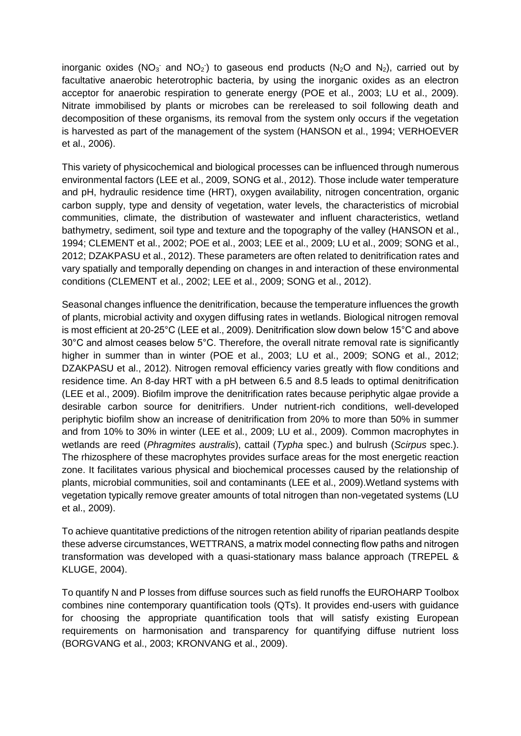inorganic oxides (NO<sub>3</sub> and NO<sub>2</sub>) to gaseous end products (N<sub>2</sub>O and N<sub>2</sub>), carried out by facultative anaerobic heterotrophic bacteria, by using the inorganic oxides as an electron acceptor for anaerobic respiration to generate energy (POE et al., 2003; LU et al., 2009). Nitrate immobilised by plants or microbes can be rereleased to soil following death and decomposition of these organisms, its removal from the system only occurs if the vegetation is harvested as part of the management of the system (HANSON et al., 1994; VERHOEVER et al., 2006).

This variety of physicochemical and biological processes can be influenced through numerous environmental factors (LEE et al., 2009, SONG et al., 2012). Those include water temperature and pH, hydraulic residence time (HRT), oxygen availability, nitrogen concentration, organic carbon supply, type and density of vegetation, water levels, the characteristics of microbial communities, climate, the distribution of wastewater and influent characteristics, wetland bathymetry, sediment, soil type and texture and the topography of the valley (HANSON et al., 1994; CLEMENT et al., 2002; POE et al., 2003; LEE et al., 2009; LU et al., 2009; SONG et al., 2012; DZAKPASU et al., 2012). These parameters are often related to denitrification rates and vary spatially and temporally depending on changes in and interaction of these environmental conditions (CLEMENT et al., 2002; LEE et al., 2009; SONG et al., 2012).

Seasonal changes influence the denitrification, because the temperature influences the growth of plants, microbial activity and oxygen diffusing rates in wetlands. Biological nitrogen removal is most efficient at 20-25°C (LEE et al., 2009). Denitrification slow down below 15°C and above 30°C and almost ceases below 5°C. Therefore, the overall nitrate removal rate is significantly higher in summer than in winter (POE et al., 2003; LU et al., 2009; SONG et al., 2012; DZAKPASU et al., 2012). Nitrogen removal efficiency varies greatly with flow conditions and residence time. An 8-day HRT with a pH between 6.5 and 8.5 leads to optimal denitrification (LEE et al., 2009). Biofilm improve the denitrification rates because periphytic algae provide a desirable carbon source for denitrifiers. Under nutrient-rich conditions, well-developed periphytic biofilm show an increase of denitrification from 20% to more than 50% in summer and from 10% to 30% in winter (LEE et al., 2009; LU et al., 2009). Common macrophytes in wetlands are reed (*Phragmites australis*), cattail (*Typha* spec.) and bulrush (*Scirpus* spec.). The rhizosphere of these macrophytes provides surface areas for the most energetic reaction zone. It facilitates various physical and biochemical processes caused by the relationship of plants, microbial communities, soil and contaminants (LEE et al., 2009).Wetland systems with vegetation typically remove greater amounts of total nitrogen than non-vegetated systems (LU et al., 2009).

To achieve quantitative predictions of the nitrogen retention ability of riparian peatlands despite these adverse circumstances, WETTRANS, a matrix model connecting flow paths and nitrogen transformation was developed with a quasi-stationary mass balance approach (TREPEL & KLUGE, 2004).

To quantify N and P losses from diffuse sources such as field runoffs the EUROHARP Toolbox combines nine contemporary quantification tools (QTs). It provides end-users with guidance for choosing the appropriate quantification tools that will satisfy existing European requirements on harmonisation and transparency for quantifying diffuse nutrient loss (BORGVANG et al., 2003; KRONVANG et al., 2009).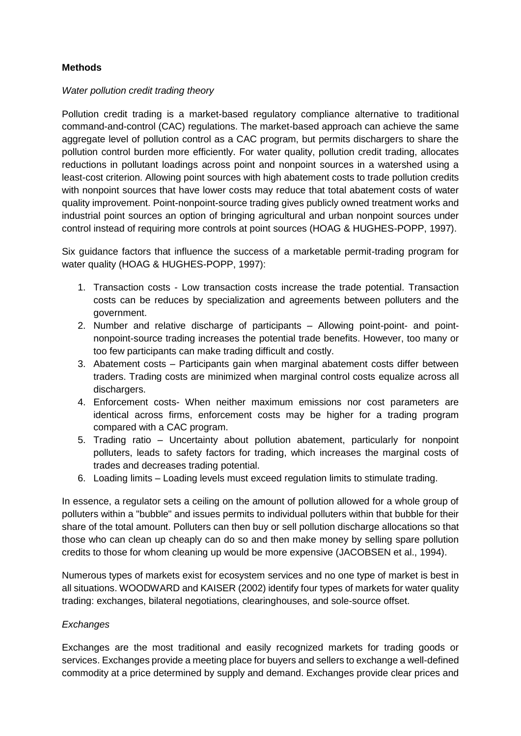# **Methods**

### *Water pollution credit trading theory*

Pollution credit trading is a market-based regulatory compliance alternative to traditional command-and-control (CAC) regulations. The market-based approach can achieve the same aggregate level of pollution control as a CAC program, but permits dischargers to share the pollution control burden more efficiently. For water quality, pollution credit trading, allocates reductions in pollutant loadings across point and nonpoint sources in a watershed using a least-cost criterion. Allowing point sources with high abatement costs to trade pollution credits with nonpoint sources that have lower costs may reduce that total abatement costs of water quality improvement. Point-nonpoint-source trading gives publicly owned treatment works and industrial point sources an option of bringing agricultural and urban nonpoint sources under control instead of requiring more controls at point sources (HOAG & HUGHES-POPP, 1997).

Six guidance factors that influence the success of a marketable permit-trading program for water quality (HOAG & HUGHES-POPP, 1997):

- 1. Transaction costs Low transaction costs increase the trade potential. Transaction costs can be reduces by specialization and agreements between polluters and the government.
- 2. Number and relative discharge of participants Allowing point-point- and pointnonpoint-source trading increases the potential trade benefits. However, too many or too few participants can make trading difficult and costly.
- 3. Abatement costs Participants gain when marginal abatement costs differ between traders. Trading costs are minimized when marginal control costs equalize across all dischargers.
- 4. Enforcement costs- When neither maximum emissions nor cost parameters are identical across firms, enforcement costs may be higher for a trading program compared with a CAC program.
- 5. Trading ratio Uncertainty about pollution abatement, particularly for nonpoint polluters, leads to safety factors for trading, which increases the marginal costs of trades and decreases trading potential.
- 6. Loading limits Loading levels must exceed regulation limits to stimulate trading.

In essence, a regulator sets a ceiling on the amount of pollution allowed for a whole group of polluters within a "bubble" and issues permits to individual polluters within that bubble for their share of the total amount. Polluters can then buy or sell pollution discharge allocations so that those who can clean up cheaply can do so and then make money by selling spare pollution credits to those for whom cleaning up would be more expensive (JACOBSEN et al., 1994).

Numerous types of markets exist for ecosystem services and no one type of market is best in all situations. WOODWARD and KAISER (2002) identify four types of markets for water quality trading: exchanges, bilateral negotiations, clearinghouses, and sole-source offset.

### *Exchanges*

Exchanges are the most traditional and easily recognized markets for trading goods or services. Exchanges provide a meeting place for buyers and sellers to exchange a well-defined commodity at a price determined by supply and demand. Exchanges provide clear prices and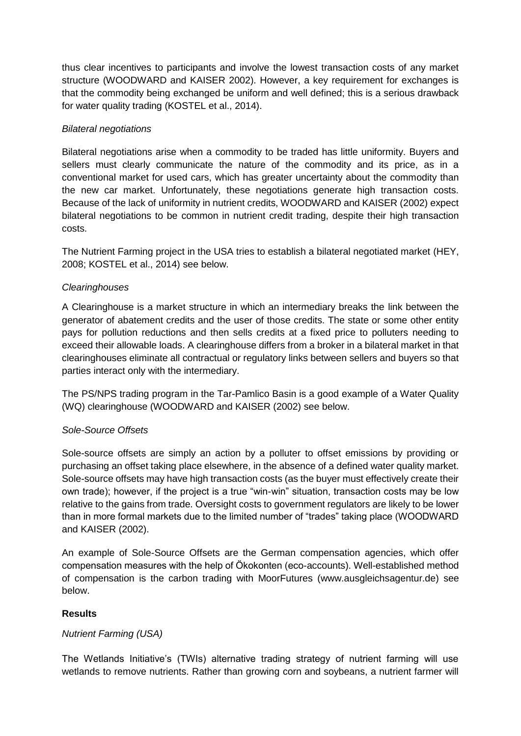thus clear incentives to participants and involve the lowest transaction costs of any market structure (WOODWARD and KAISER 2002). However, a key requirement for exchanges is that the commodity being exchanged be uniform and well defined; this is a serious drawback for water quality trading (KOSTEL et al., 2014).

## *Bilateral negotiations*

Bilateral negotiations arise when a commodity to be traded has little uniformity. Buyers and sellers must clearly communicate the nature of the commodity and its price, as in a conventional market for used cars, which has greater uncertainty about the commodity than the new car market. Unfortunately, these negotiations generate high transaction costs. Because of the lack of uniformity in nutrient credits, WOODWARD and KAISER (2002) expect bilateral negotiations to be common in nutrient credit trading, despite their high transaction costs.

The Nutrient Farming project in the USA tries to establish a bilateral negotiated market (HEY, 2008; KOSTEL et al., 2014) see below.

## *Clearinghouses*

A Clearinghouse is a market structure in which an intermediary breaks the link between the generator of abatement credits and the user of those credits. The state or some other entity pays for pollution reductions and then sells credits at a fixed price to polluters needing to exceed their allowable loads. A clearinghouse differs from a broker in a bilateral market in that clearinghouses eliminate all contractual or regulatory links between sellers and buyers so that parties interact only with the intermediary.

The PS/NPS trading program in the Tar-Pamlico Basin is a good example of a Water Quality (WQ) clearinghouse (WOODWARD and KAISER (2002) see below.

### *Sole-Source Offsets*

Sole-source offsets are simply an action by a polluter to offset emissions by providing or purchasing an offset taking place elsewhere, in the absence of a defined water quality market. Sole-source offsets may have high transaction costs (as the buyer must effectively create their own trade); however, if the project is a true "win-win" situation, transaction costs may be low relative to the gains from trade. Oversight costs to government regulators are likely to be lower than in more formal markets due to the limited number of "trades" taking place (WOODWARD and KAISER (2002).

An example of Sole-Source Offsets are the German compensation agencies, which offer compensation measures with the help of Ökokonten (eco-accounts). Well-established method of compensation is the carbon trading with MoorFutures [\(www.ausgleichsagentur.de\)](http://www.ausgleichsagentur.de/) see below.

# **Results**

# *Nutrient Farming (USA)*

The Wetlands Initiative's (TWIs) alternative trading strategy of nutrient farming will use wetlands to remove nutrients. Rather than growing corn and soybeans, a nutrient farmer will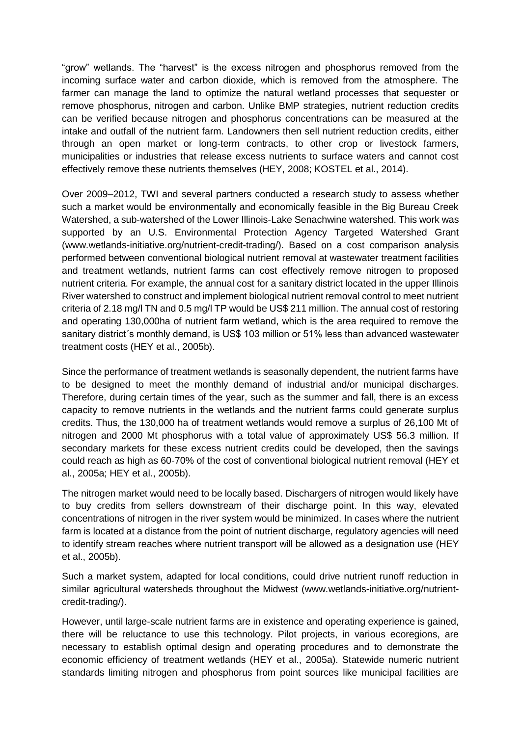"grow" wetlands. The "harvest" is the excess nitrogen and phosphorus removed from the incoming surface water and carbon dioxide, which is removed from the atmosphere. The farmer can manage the land to optimize the natural wetland processes that sequester or remove phosphorus, nitrogen and carbon. Unlike BMP strategies, nutrient reduction credits can be verified because nitrogen and phosphorus concentrations can be measured at the intake and outfall of the nutrient farm. Landowners then sell nutrient reduction credits, either through an open market or long-term contracts, to other crop or livestock farmers, municipalities or industries that release excess nutrients to surface waters and cannot cost effectively remove these nutrients themselves (HEY, 2008; KOSTEL et al., 2014).

Over 2009–2012, TWI and several partners conducted a research study to assess whether such a market would be environmentally and economically feasible in the Big Bureau Creek Watershed, a sub-watershed of the Lower Illinois-Lake Senachwine watershed. This work was supported by an U.S. Environmental Protection Agency Targeted Watershed Grant (www.wetlands-initiative.org/nutrient-credit-trading/). Based on a cost comparison analysis performed between conventional biological nutrient removal at wastewater treatment facilities and treatment wetlands, nutrient farms can cost effectively remove nitrogen to proposed nutrient criteria. For example, the annual cost for a sanitary district located in the upper Illinois River watershed to construct and implement biological nutrient removal control to meet nutrient criteria of 2.18 mg/l TN and 0.5 mg/l TP would be US\$ 211 million. The annual cost of restoring and operating 130,000ha of nutrient farm wetland, which is the area required to remove the sanitary district´s monthly demand, is US\$ 103 million or 51% less than advanced wastewater treatment costs (HEY et al., 2005b).

Since the performance of treatment wetlands is seasonally dependent, the nutrient farms have to be designed to meet the monthly demand of industrial and/or municipal discharges. Therefore, during certain times of the year, such as the summer and fall, there is an excess capacity to remove nutrients in the wetlands and the nutrient farms could generate surplus credits. Thus, the 130,000 ha of treatment wetlands would remove a surplus of 26,100 Mt of nitrogen and 2000 Mt phosphorus with a total value of approximately US\$ 56.3 million. If secondary markets for these excess nutrient credits could be developed, then the savings could reach as high as 60-70% of the cost of conventional biological nutrient removal (HEY et al., 2005a; HEY et al., 2005b).

The nitrogen market would need to be locally based. Dischargers of nitrogen would likely have to buy credits from sellers downstream of their discharge point. In this way, elevated concentrations of nitrogen in the river system would be minimized. In cases where the nutrient farm is located at a distance from the point of nutrient discharge, regulatory agencies will need to identify stream reaches where nutrient transport will be allowed as a designation use (HEY et al., 2005b).

Such a market system, adapted for local conditions, could drive nutrient runoff reduction in similar agricultural watersheds throughout the Midwest (www.wetlands-initiative.org/nutrientcredit-trading/).

However, until large-scale nutrient farms are in existence and operating experience is gained, there will be reluctance to use this technology. Pilot projects, in various ecoregions, are necessary to establish optimal design and operating procedures and to demonstrate the economic efficiency of treatment wetlands (HEY et al., 2005a). Statewide numeric nutrient standards limiting nitrogen and phosphorus from point sources like municipal facilities are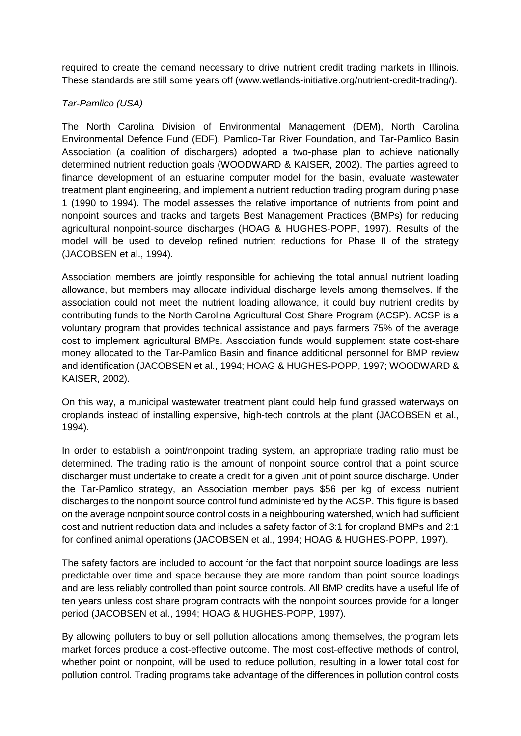required to create the demand necessary to drive nutrient credit trading markets in Illinois. These standards are still some years off (www.wetlands-initiative.org/nutrient-credit-trading/).

# *Tar-Pamlico (USA)*

The North Carolina Division of Environmental Management (DEM), North Carolina Environmental Defence Fund (EDF), Pamlico-Tar River Foundation, and Tar-Pamlico Basin Association (a coalition of dischargers) adopted a two-phase plan to achieve nationally determined nutrient reduction goals (WOODWARD & KAISER, 2002). The parties agreed to finance development of an estuarine computer model for the basin, evaluate wastewater treatment plant engineering, and implement a nutrient reduction trading program during phase 1 (1990 to 1994). The model assesses the relative importance of nutrients from point and nonpoint sources and tracks and targets Best Management Practices (BMPs) for reducing agricultural nonpoint-source discharges (HOAG & HUGHES-POPP, 1997). Results of the model will be used to develop refined nutrient reductions for Phase II of the strategy (JACOBSEN et al., 1994).

Association members are jointly responsible for achieving the total annual nutrient loading allowance, but members may allocate individual discharge levels among themselves. If the association could not meet the nutrient loading allowance, it could buy nutrient credits by contributing funds to the North Carolina Agricultural Cost Share Program (ACSP). ACSP is a voluntary program that provides technical assistance and pays farmers 75% of the average cost to implement agricultural BMPs. Association funds would supplement state cost-share money allocated to the Tar-Pamlico Basin and finance additional personnel for BMP review and identification (JACOBSEN et al., 1994; HOAG & HUGHES-POPP, 1997; WOODWARD & KAISER, 2002).

On this way, a municipal wastewater treatment plant could help fund grassed waterways on croplands instead of installing expensive, high-tech controls at the plant (JACOBSEN et al., 1994).

In order to establish a point/nonpoint trading system, an appropriate trading ratio must be determined. The trading ratio is the amount of nonpoint source control that a point source discharger must undertake to create a credit for a given unit of point source discharge. Under the Tar-Pamlico strategy, an Association member pays \$56 per kg of excess nutrient discharges to the nonpoint source control fund administered by the ACSP. This figure is based on the average nonpoint source control costs in a neighbouring watershed, which had sufficient cost and nutrient reduction data and includes a safety factor of 3:1 for cropland BMPs and 2:1 for confined animal operations (JACOBSEN et al., 1994; HOAG & HUGHES-POPP, 1997).

The safety factors are included to account for the fact that nonpoint source loadings are less predictable over time and space because they are more random than point source loadings and are less reliably controlled than point source controls. All BMP credits have a useful life of ten years unless cost share program contracts with the nonpoint sources provide for a longer period (JACOBSEN et al., 1994; HOAG & HUGHES-POPP, 1997).

By allowing polluters to buy or sell pollution allocations among themselves, the program lets market forces produce a cost-effective outcome. The most cost-effective methods of control, whether point or nonpoint, will be used to reduce pollution, resulting in a lower total cost for pollution control. Trading programs take advantage of the differences in pollution control costs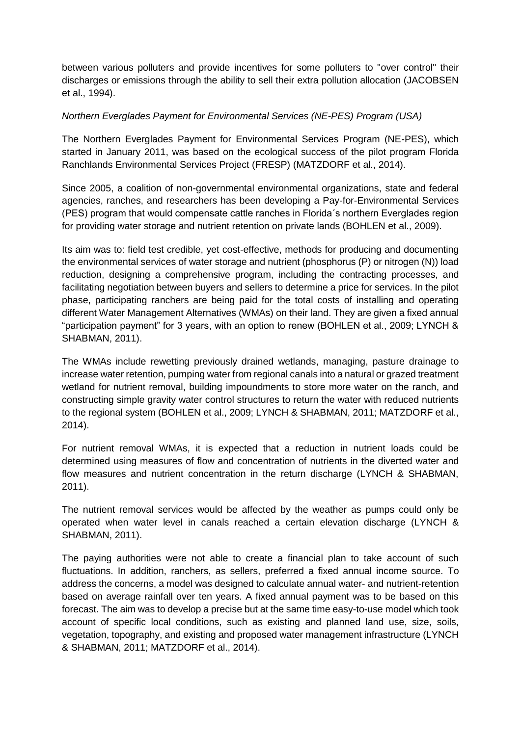between various polluters and provide incentives for some polluters to "over control" their discharges or emissions through the ability to sell their extra pollution allocation (JACOBSEN et al., 1994).

## *Northern Everglades Payment for Environmental Services (NE-PES) Program (USA)*

The Northern Everglades Payment for Environmental Services Program (NE-PES), which started in January 2011, was based on the ecological success of the pilot program Florida Ranchlands Environmental Services Project (FRESP) (MATZDORF et al., 2014).

Since 2005, a coalition of non-governmental environmental organizations, state and federal agencies, ranches, and researchers has been developing a Pay-for-Environmental Services (PES) program that would compensate cattle ranches in Florida´s northern Everglades region for providing water storage and nutrient retention on private lands (BOHLEN et al., 2009).

Its aim was to: field test credible, yet cost-effective, methods for producing and documenting the environmental services of water storage and nutrient (phosphorus (P) or nitrogen (N)) load reduction, designing a comprehensive program, including the contracting processes, and facilitating negotiation between buyers and sellers to determine a price for services. In the pilot phase, participating ranchers are being paid for the total costs of installing and operating different Water Management Alternatives (WMAs) on their land. They are given a fixed annual "participation payment" for 3 years, with an option to renew (BOHLEN et al., 2009; LYNCH & SHABMAN, 2011).

The WMAs include rewetting previously drained wetlands, managing, pasture drainage to increase water retention, pumping water from regional canals into a natural or grazed treatment wetland for nutrient removal, building impoundments to store more water on the ranch, and constructing simple gravity water control structures to return the water with reduced nutrients to the regional system (BOHLEN et al., 2009; LYNCH & SHABMAN, 2011; MATZDORF et al., 2014).

For nutrient removal WMAs, it is expected that a reduction in nutrient loads could be determined using measures of flow and concentration of nutrients in the diverted water and flow measures and nutrient concentration in the return discharge (LYNCH & SHABMAN, 2011).

The nutrient removal services would be affected by the weather as pumps could only be operated when water level in canals reached a certain elevation discharge (LYNCH & SHABMAN, 2011).

The paying authorities were not able to create a financial plan to take account of such fluctuations. In addition, ranchers, as sellers, preferred a fixed annual income source. To address the concerns, a model was designed to calculate annual water- and nutrient-retention based on average rainfall over ten years. A fixed annual payment was to be based on this forecast. The aim was to develop a precise but at the same time easy-to-use model which took account of specific local conditions, such as existing and planned land use, size, soils, vegetation, topography, and existing and proposed water management infrastructure (LYNCH & SHABMAN, 2011; MATZDORF et al., 2014).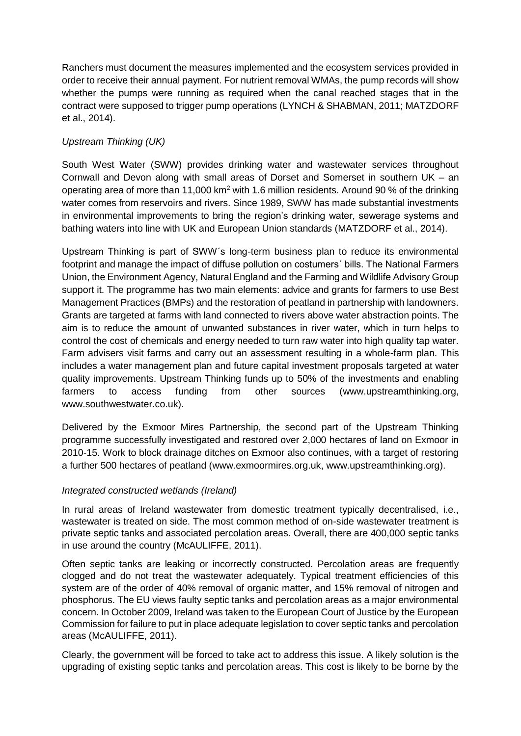Ranchers must document the measures implemented and the ecosystem services provided in order to receive their annual payment. For nutrient removal WMAs, the pump records will show whether the pumps were running as required when the canal reached stages that in the contract were supposed to trigger pump operations (LYNCH & SHABMAN, 2011; MATZDORF et al., 2014).

# *Upstream Thinking (UK)*

South West Water (SWW) provides drinking water and wastewater services throughout Cornwall and Devon along with small areas of Dorset and Somerset in southern UK – an operating area of more than 11,000 km<sup>2</sup> with 1.6 million residents. Around 90 % of the drinking water comes from reservoirs and rivers. Since 1989, SWW has made substantial investments in environmental improvements to bring the region's drinking water, sewerage systems and bathing waters into line with UK and European Union standards (MATZDORF et al., 2014).

Upstream Thinking is part of SWW´s long-term business plan to reduce its environmental footprint and manage the impact of diffuse pollution on costumers´ bills. The National Farmers Union, the Environment Agency, Natural England and the Farming and Wildlife Advisory Group support it. The programme has two main elements: advice and grants for farmers to use Best Management Practices (BMPs) and the restoration of peatland in partnership with landowners. Grants are targeted at farms with land connected to rivers above water abstraction points. The aim is to reduce the amount of unwanted substances in river water, which in turn helps to control the cost of chemicals and energy needed to turn raw water into high quality tap water. Farm advisers visit farms and carry out an assessment resulting in a whole-farm plan. This includes a water management plan and future capital investment proposals targeted at water quality improvements. Upstream Thinking funds up to 50% of the investments and enabling farmers to access funding from other sources [\(www.upstreamthinking.org,](http://www.upstreamthinking.org/) [www.southwestwater.co.uk\)](http://www.southwestwater.co.uk/).

Delivered by the Exmoor Mires Partnership, the second part of the Upstream Thinking programme successfully investigated and restored over 2,000 hectares of land on Exmoor in 2010-15. Work to block drainage ditches on Exmoor also continues, with a target of restoring a further 500 hectares of peatland [\(www.exmoormires.org.uk,](http://www.exmoormires.org.uk/) [www.upstreamthinking.org\)](http://www.upstreamthinking.org/).

# *Integrated constructed wetlands (Ireland)*

In rural areas of Ireland wastewater from domestic treatment typically decentralised, i.e., wastewater is treated on side. The most common method of on-side wastewater treatment is private septic tanks and associated percolation areas. Overall, there are 400,000 septic tanks in use around the country (McAULIFFE, 2011).

Often septic tanks are leaking or incorrectly constructed. Percolation areas are frequently clogged and do not treat the wastewater adequately. Typical treatment efficiencies of this system are of the order of 40% removal of organic matter, and 15% removal of nitrogen and phosphorus. The EU views faulty septic tanks and percolation areas as a major environmental concern. In October 2009, Ireland was taken to the European Court of Justice by the European Commission for failure to put in place adequate legislation to cover septic tanks and percolation areas (McAULIFFE, 2011).

Clearly, the government will be forced to take act to address this issue. A likely solution is the upgrading of existing septic tanks and percolation areas. This cost is likely to be borne by the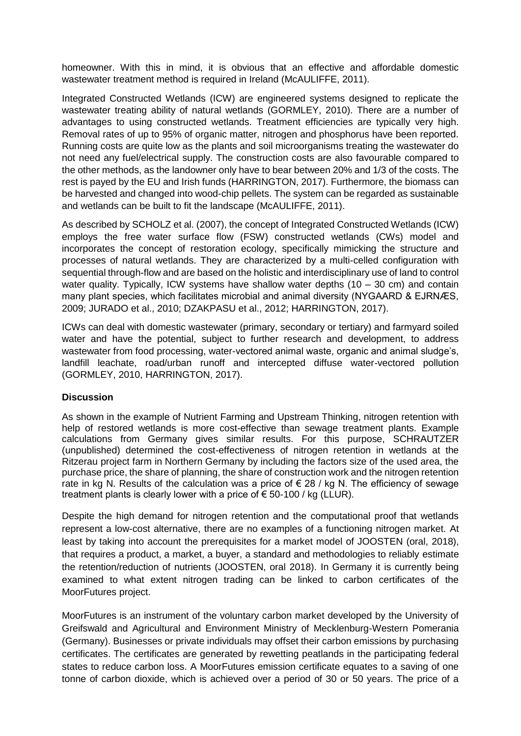homeowner. With this in mind, it is obvious that an effective and affordable domestic wastewater treatment method is required in Ireland (McAULIFFE, 2011).

Integrated Constructed Wetlands (ICW) are engineered systems designed to replicate the wastewater treating ability of natural wetlands (GORMLEY, 2010). There are a number of advantages to using constructed wetlands. Treatment efficiencies are typically very high. Removal rates of up to 95% of organic matter, nitrogen and phosphorus have been reported. Running costs are quite low as the plants and soil microorganisms treating the wastewater do not need any fuel/electrical supply. The construction costs are also favourable compared to the other methods, as the landowner only have to bear between 20% and 1/3 of the costs. The rest is payed by the EU and Irish funds (HARRINGTON, 2017). Furthermore, the biomass can be harvested and changed into wood-chip pellets. The system can be regarded as sustainable and wetlands can be built to fit the landscape (McAULIFFE, 2011).

As described by SCHOLZ et al. (2007), the concept of Integrated Constructed Wetlands (ICW) employs the free water surface flow (FSW) constructed wetlands (CWs) model and incorporates the concept of restoration ecology, specifically mimicking the structure and processes of natural wetlands. They are characterized by a multi-celled configuration with sequential through-flow and are based on the holistic and interdisciplinary use of land to control water quality. Typically, ICW systems have shallow water depths  $(10 - 30 \text{ cm})$  and contain many plant species, which facilitates microbial and animal diversity (NYGAARD & EJRNÆS, 2009; JURADO et al., 2010; DZAKPASU et al., 2012; HARRINGTON, 2017).

ICWs can deal with domestic wastewater (primary, secondary or tertiary) and farmyard soiled water and have the potential, subject to further research and development, to address wastewater from food processing, water-vectored animal waste, organic and animal sludge's, landfill leachate, road/urban runoff and intercepted diffuse water-vectored pollution (GORMLEY, 2010, HARRINGTON, 2017).

### **Discussion**

As shown in the example of Nutrient Farming and Upstream Thinking, nitrogen retention with help of restored wetlands is more cost-effective than sewage treatment plants. Example calculations from Germany gives similar results. For this purpose, SCHRAUTZER (unpublished) determined the cost-effectiveness of nitrogen retention in wetlands at the Ritzerau project farm in Northern Germany by including the factors size of the used area, the purchase price, the share of planning, the share of construction work and the nitrogen retention rate in kg N. Results of the calculation was a price of  $\epsilon$  28 / kg N. The efficiency of sewage treatment plants is clearly lower with a price of  $\epsilon$  50-100 / kg (LLUR).

Despite the high demand for nitrogen retention and the computational proof that wetlands represent a low-cost alternative, there are no examples of a functioning nitrogen market. At least by taking into account the prerequisites for a market model of JOOSTEN (oral, 2018), that requires a product, a market, a buyer, a standard and methodologies to reliably estimate the retention/reduction of nutrients (JOOSTEN, oral 2018). In Germany it is currently being examined to what extent nitrogen trading can be linked to carbon certificates of the MoorFutures project.

MoorFutures is an instrument of the voluntary carbon market developed by the University of Greifswald and Agricultural and Environment Ministry of Mecklenburg-Western Pomerania (Germany). Businesses or private individuals may offset their carbon emissions by purchasing certificates. The certificates are generated by rewetting peatlands in the participating federal states to reduce carbon loss. A MoorFutures emission certificate equates to a saving of one tonne of carbon dioxide, which is achieved over a period of 30 or 50 years. The price of a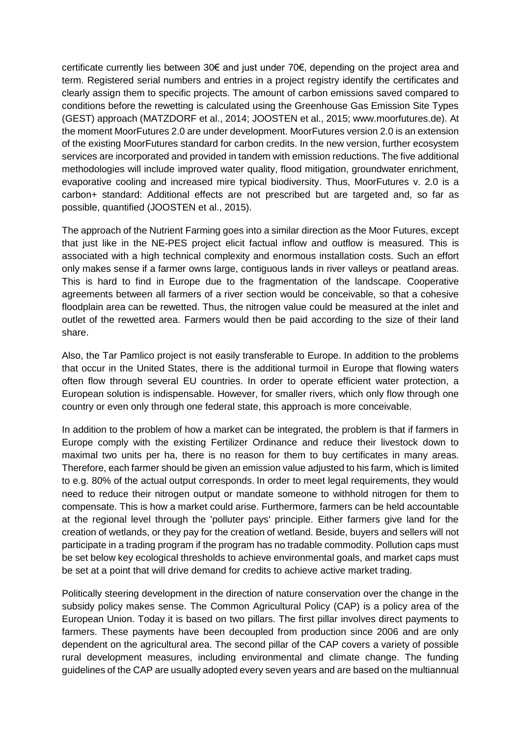certificate currently lies between 30€ and just under 70€, depending on the project area and term. Registered serial numbers and entries in a project registry identify the certificates and clearly assign them to specific projects. The amount of carbon emissions saved compared to conditions before the rewetting is calculated using the Greenhouse Gas Emission Site Types (GEST) approach (MATZDORF et al., 2014; JOOSTEN et al., 2015; [www.moorfutures.de\)](http://www.moorfutures.de/). At the moment MoorFutures 2.0 are under development. MoorFutures version 2.0 is an extension of the existing MoorFutures standard for carbon credits. In the new version, further ecosystem services are incorporated and provided in tandem with emission reductions. The five additional methodologies will include improved water quality, flood mitigation, groundwater enrichment, evaporative cooling and increased mire typical biodiversity. Thus, MoorFutures v. 2.0 is a carbon+ standard: Additional effects are not prescribed but are targeted and, so far as possible, quantified (JOOSTEN et al., 2015).

The approach of the Nutrient Farming goes into a similar direction as the Moor Futures, except that just like in the NE-PES project elicit factual inflow and outflow is measured. This is associated with a high technical complexity and enormous installation costs. Such an effort only makes sense if a farmer owns large, contiguous lands in river valleys or peatland areas. This is hard to find in Europe due to the fragmentation of the landscape. Cooperative agreements between all farmers of a river section would be conceivable, so that a cohesive floodplain area can be rewetted. Thus, the nitrogen value could be measured at the inlet and outlet of the rewetted area. Farmers would then be paid according to the size of their land share.

Also, the Tar Pamlico project is not easily transferable to Europe. In addition to the problems that occur in the United States, there is the additional turmoil in Europe that flowing waters often flow through several EU countries. In order to operate efficient water protection, a European solution is indispensable. However, for smaller rivers, which only flow through one country or even only through one federal state, this approach is more conceivable.

In addition to the problem of how a market can be integrated, the problem is that if farmers in Europe comply with the existing Fertilizer Ordinance and reduce their livestock down to maximal two units per ha, there is no reason for them to buy certificates in many areas. Therefore, each farmer should be given an emission value adjusted to his farm, which is limited to e.g. 80% of the actual output corresponds. In order to meet legal requirements, they would need to reduce their nitrogen output or mandate someone to withhold nitrogen for them to compensate. This is how a market could arise. Furthermore, farmers can be held accountable at the regional level through the 'polluter pays' principle. Either farmers give land for the creation of wetlands, or they pay for the creation of wetland. Beside, buyers and sellers will not participate in a trading program if the program has no tradable commodity. Pollution caps must be set below key ecological thresholds to achieve environmental goals, and market caps must be set at a point that will drive demand for credits to achieve active market trading.

Politically steering development in the direction of nature conservation over the change in the subsidy policy makes sense. The Common Agricultural Policy (CAP) is a policy area of the European Union. Today it is based on two pillars. The first pillar involves direct payments to farmers. These payments have been decoupled from production since 2006 and are only dependent on the agricultural area. The second pillar of the CAP covers a variety of possible rural development measures, including environmental and climate change. The funding guidelines of the CAP are usually adopted every seven years and are based on the multiannual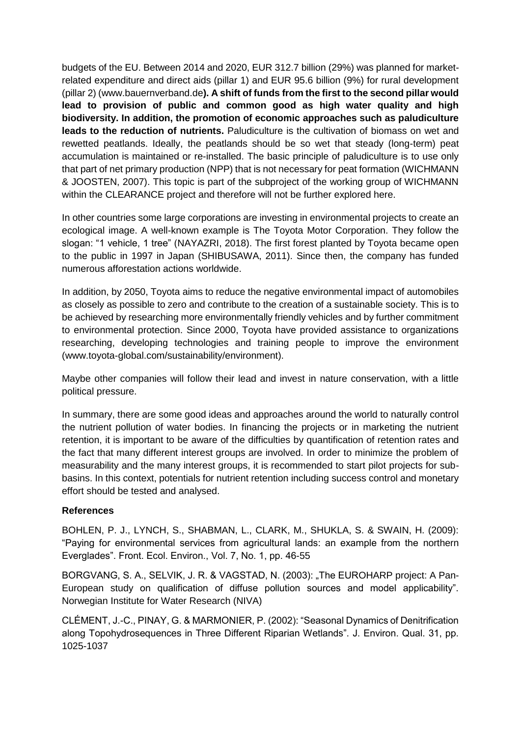budgets of the EU. Between 2014 and 2020, EUR 312.7 billion (29%) was planned for marketrelated expenditure and direct aids (pillar 1) and EUR 95.6 billion (9%) for rural development (pillar 2) (www.bauernverband.de**). A shift of funds from the first to the second pillar would lead to provision of public and common good as high water quality and high biodiversity. In addition, the promotion of economic approaches such as paludiculture leads to the reduction of nutrients.** Paludiculture is the cultivation of biomass on wet and rewetted peatlands. Ideally, the peatlands should be so wet that steady (long-term) peat accumulation is maintained or re-installed. The basic principle of paludiculture is to use only that part of net primary production (NPP) that is not necessary for peat formation (WICHMANN & JOOSTEN, 2007). This topic is part of the subproject of the working group of WICHMANN within the CLEARANCE project and therefore will not be further explored here.

In other countries some large corporations are investing in environmental projects to create an ecological image. A well-known example is The Toyota Motor Corporation. They follow the slogan: "1 vehicle, 1 tree" (NAYAZRI, 2018). The first forest planted by Toyota became open to the public in 1997 in Japan (SHIBUSAWA, 2011). Since then, the company has funded numerous afforestation actions worldwide.

In addition, by 2050, Toyota aims to reduce the negative environmental impact of automobiles as closely as possible to zero and contribute to the creation of a sustainable society. This is to be achieved by researching more environmentally friendly vehicles and by further commitment to environmental protection. Since 2000, Toyota have provided assistance to organizations researching, developing technologies and training people to improve the environment (www.toyota-global.com/sustainability/environment).

Maybe other companies will follow their lead and invest in nature conservation, with a little political pressure.

In summary, there are some good ideas and approaches around the world to naturally control the nutrient pollution of water bodies. In financing the projects or in marketing the nutrient retention, it is important to be aware of the difficulties by quantification of retention rates and the fact that many different interest groups are involved. In order to minimize the problem of measurability and the many interest groups, it is recommended to start pilot projects for subbasins. In this context, potentials for nutrient retention including success control and monetary effort should be tested and analysed.

### **References**

BOHLEN, P. J., LYNCH, S., SHABMAN, L., CLARK, M., SHUKLA, S. & SWAIN, H. (2009): "Paying for environmental services from agricultural lands: an example from the northern Everglades". Front. Ecol. Environ., Vol. 7, No. 1, pp. 46-55

BORGVANG, S. A., SELVIK, J. R. & VAGSTAD, N. (2003): "The EUROHARP project: A Pan-European study on qualification of diffuse pollution sources and model applicability". Norwegian Institute for Water Research (NIVA)

CLÉMENT, J.-C., PINAY, G. & MARMONIER, P. (2002): "Seasonal Dynamics of Denitrification along Topohydrosequences in Three Different Riparian Wetlands". J. Environ. Qual. 31, pp. 1025-1037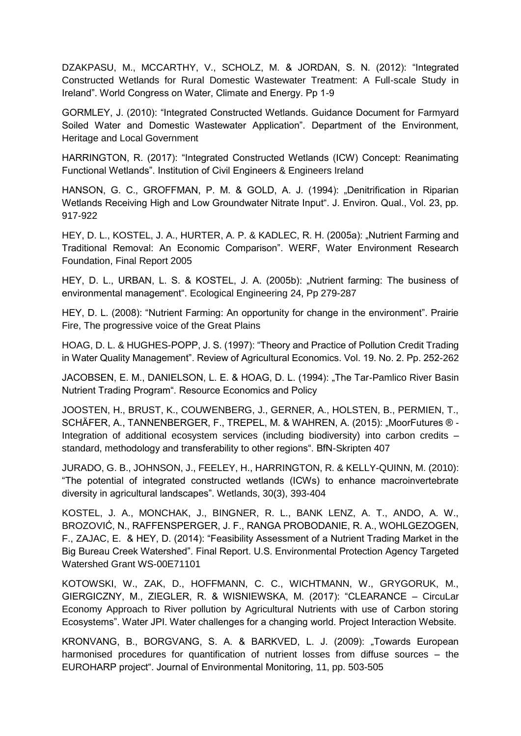DZAKPASU, M., MCCARTHY, V., SCHOLZ, M. & JORDAN, S. N. (2012): "Integrated Constructed Wetlands for Rural Domestic Wastewater Treatment: A Full-scale Study in Ireland". World Congress on Water, Climate and Energy. Pp 1-9

GORMLEY, J. (2010): "Integrated Constructed Wetlands. Guidance Document for Farmyard Soiled Water and Domestic Wastewater Application". Department of the Environment, Heritage and Local Government

HARRINGTON, R. (2017): "Integrated Constructed Wetlands (ICW) Concept: Reanimating Functional Wetlands". Institution of Civil Engineers & Engineers Ireland

HANSON, G. C., GROFFMAN, P. M. & GOLD, A. J. (1994): "Denitrification in Riparian Wetlands Receiving High and Low Groundwater Nitrate Input". J. Environ. Qual., Vol. 23, pp. 917-922

HEY, D. L., KOSTEL, J. A., HURTER, A. P. & KADLEC, R. H. (2005a): "Nutrient Farming and Traditional Removal: An Economic Comparison". WERF, Water Environment Research Foundation, Final Report 2005

HEY, D. L., URBAN, L. S. & KOSTEL, J. A. (2005b): "Nutrient farming: The business of environmental management". Ecological Engineering 24, Pp 279-287

HEY, D. L. (2008): "Nutrient Farming: An opportunity for change in the environment". Prairie Fire, The progressive voice of the Great Plains

HOAG, D. L. & HUGHES-POPP, J. S. (1997): "Theory and Practice of Pollution Credit Trading in Water Quality Management". Review of Agricultural Economics. Vol. 19. No. 2. Pp. 252-262

JACOBSEN, E. M., DANIELSON, L. E. & HOAG, D. L. (1994): "The Tar-Pamlico River Basin Nutrient Trading Program". Resource Economics and Policy

JOOSTEN, H., BRUST, K., COUWENBERG, J., GERNER, A., HOLSTEN, B., PERMIEN, T., SCHÄFER, A., TANNENBERGER, F., TREPEL, M. & WAHREN, A. (2015): "MoorFutures ® -Integration of additional ecosystem services (including biodiversity) into carbon credits – standard, methodology and transferability to other regions". BfN-Skripten 407

JURADO, G. B., JOHNSON, J., FEELEY, H., HARRINGTON, R. & KELLY-QUINN, M. (2010): "The potential of integrated constructed wetlands (ICWs) to enhance macroinvertebrate diversity in agricultural landscapes". Wetlands, 30(3), 393-404

KOSTEL, J. A., MONCHAK, J., BINGNER, R. L., BANK LENZ, A. T., ANDO, A. W., BROZOVIĆ, N., RAFFENSPERGER, J. F., RANGA PROBODANIE, R. A., WOHLGEZOGEN, F., ZAJAC, E. & HEY, D. (2014): "Feasibility Assessment of a Nutrient Trading Market in the Big Bureau Creek Watershed". Final Report. U.S. Environmental Protection Agency Targeted Watershed Grant WS-00E71101

KOTOWSKI, W., ZAK, D., HOFFMANN, C. C., WICHTMANN, W., GRYGORUK, M., GIERGICZNY, M., ZIEGLER, R. & WISNIEWSKA, M. (2017): "CLEARANCE – CircuLar Economy Approach to River pollution by Agricultural Nutrients with use of Carbon storing Ecosystems". Water JPI. Water challenges for a changing world. Project Interaction Website.

KRONVANG, B., BORGVANG, S. A. & BARKVED, L. J. (2009): "Towards European harmonised procedures for quantification of nutrient losses from diffuse sources – the EUROHARP project". Journal of Environmental Monitoring, 11, pp. 503-505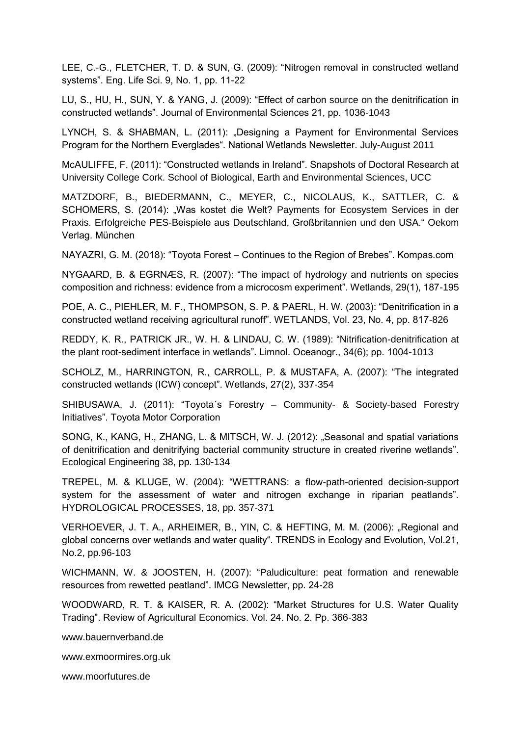LEE, C.-G., FLETCHER, T. D. & SUN, G. (2009): "Nitrogen removal in constructed wetland systems". Eng. Life Sci. 9, No. 1, pp. 11-22

LU, S., HU, H., SUN, Y. & YANG, J. (2009): "Effect of carbon source on the denitrification in constructed wetlands". Journal of Environmental Sciences 21, pp. 1036-1043

LYNCH, S. & SHABMAN, L. (2011): "Designing a Payment for Environmental Services Program for the Northern Everglades". National Wetlands Newsletter. July-August 2011

McAULIFFE, F. (2011): "Constructed wetlands in Ireland". Snapshots of Doctoral Research at University College Cork. School of Biological, Earth and Environmental Sciences, UCC

MATZDORF, B., BIEDERMANN, C., MEYER, C., NICOLAUS, K., SATTLER, C. & SCHOMERS, S. (2014): "Was kostet die Welt? Payments for Ecosystem Services in der Praxis. Erfolgreiche PES-Beispiele aus Deutschland, Großbritannien und den USA." Oekom Verlag. München

NAYAZRI, G. M. (2018): "Toyota Forest – Continues to the Region of Brebes". Kompas.com

NYGAARD, B. & EGRNÆS, R. (2007): "The impact of hydrology and nutrients on species composition and richness: evidence from a microcosm experiment". Wetlands, 29(1), 187-195

POE, A. C., PIEHLER, M. F., THOMPSON, S. P. & PAERL, H. W. (2003): "Denitrification in a constructed wetland receiving agricultural runoff". WETLANDS, Vol. 23, No. 4, pp. 817-826

REDDY, K. R., PATRICK JR., W. H. & LINDAU, C. W. (1989): "Nitrification-denitrification at the plant root-sediment interface in wetlands". Limnol. Oceanogr., 34(6); pp. 1004-1013

SCHOLZ, M., HARRINGTON, R., CARROLL, P. & MUSTAFA, A. (2007): "The integrated constructed wetlands (ICW) concept". Wetlands, 27(2), 337-354

SHIBUSAWA, J. (2011): "Toyota´s Forestry – Community- & Society-based Forestry Initiatives". Toyota Motor Corporation

SONG, K., KANG, H., ZHANG, L. & MITSCH, W. J. (2012): "Seasonal and spatial variations of denitrification and denitrifying bacterial community structure in created riverine wetlands". Ecological Engineering 38, pp. 130-134

TREPEL, M. & KLUGE, W. (2004): "WETTRANS: a flow-path-oriented decision-support system for the assessment of water and nitrogen exchange in riparian peatlands". HYDROLOGICAL PROCESSES, 18, pp. 357-371

VERHOEVER, J. T. A., ARHEIMER, B., YIN, C. & HEFTING, M. M. (2006): "Regional and global concerns over wetlands and water quality". TRENDS in Ecology and Evolution, Vol.21, No.2, pp.96-103

WICHMANN, W. & JOOSTEN, H. (2007): "Paludiculture: peat formation and renewable resources from rewetted peatland". IMCG Newsletter, pp. 24-28

WOODWARD, R. T. & KAISER, R. A. (2002): "Market Structures for U.S. Water Quality Trading". Review of Agricultural Economics. Vol. 24. No. 2. Pp. 366-383

www.bauernverband.de

[www.exmoormires.org.uk](http://www.exmoormires.org.uk/)

[www.moorfutures.de](http://www.moorfutures.de/)